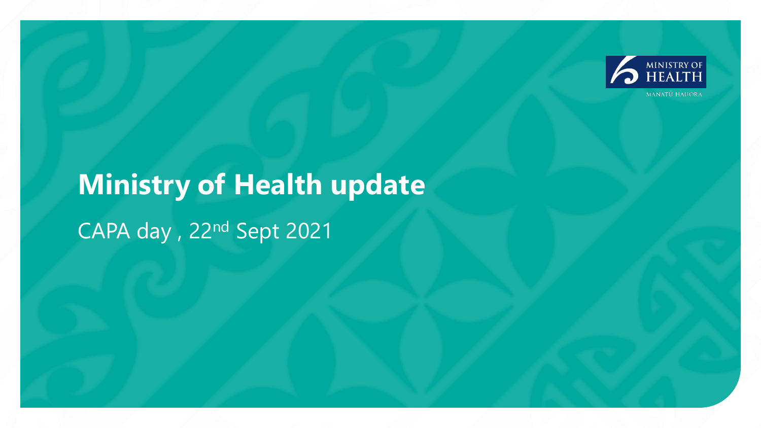

## **Ministry of Health update**  CAPA day , 22nd Sept 2021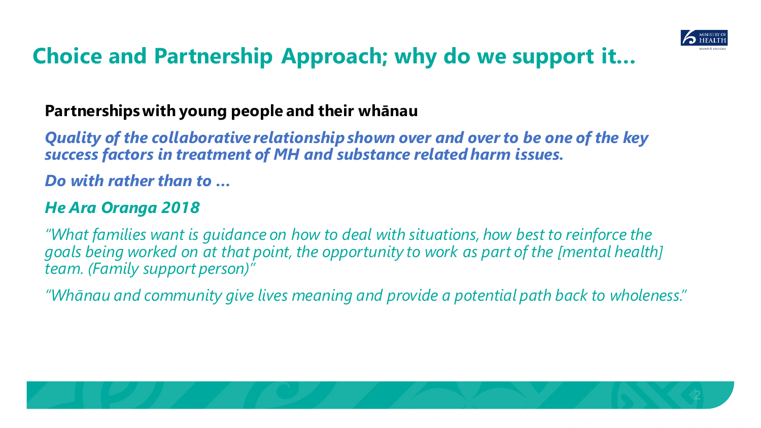

## **Choice and Partnership Approach; why do we support it…**

### **Partnerships with young people and their whānau**

*Quality of the collaborative relationship shown over and over to be one of the key success factors in treatment of MH and substance related harm issues.* 

*Do with rather than to …*

### *He Ara Oranga 2018*

*"What families want is guidance on how to deal with situations, how best to reinforce the goals being worked on at that point, the opportunity to work as part of the [mental health] team. (Family support person)"*

*"Whānau and community give lives meaning and provide a potential path back to wholeness."*

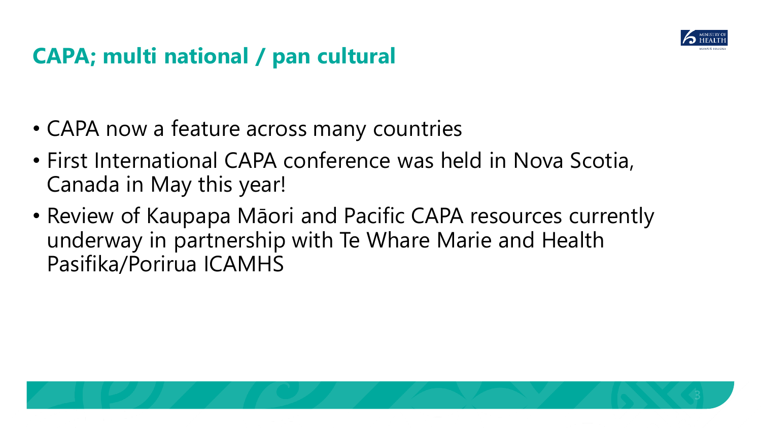

## **CAPA; multi national / pan cultural**

- CAPA now a feature across many countries
- First International CAPA conference was held in Nova Scotia, Canada in May this year!
- Review of Kaupapa Māori and Pacific CAPA resources currently underway in partnership with Te Whare Marie and Health Pasifika/Porirua ICAMHS

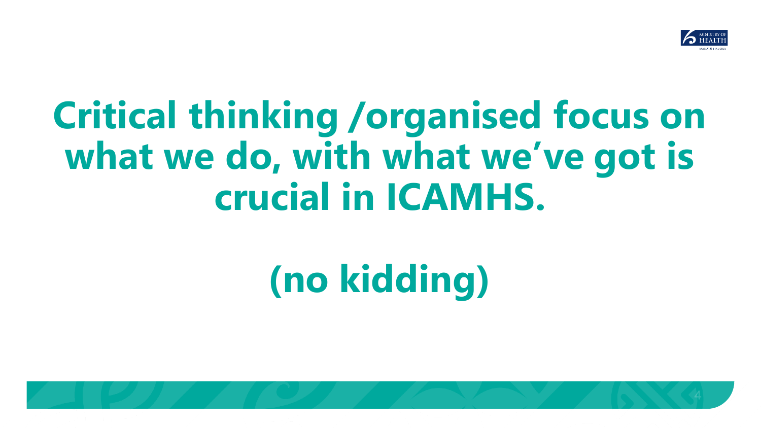

# **Critical thinking /organised focus on what we do, with what we've got is crucial in ICAMHS.**

# **(no kidding)**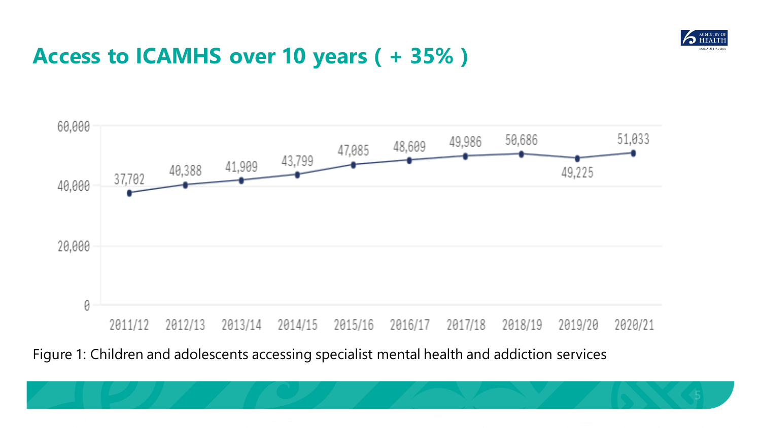

## **Access to ICAMHS over 10 years ( + 35% )**



### Figure 1: Children and adolescents accessing specialist mental health and addiction services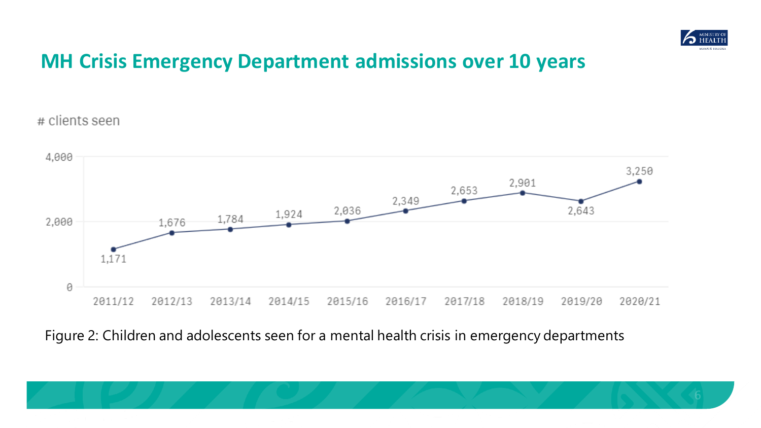

### **MH Crisis Emergency Department admissions over 10 years**

# clients seen



### Figure 2: Children and adolescents seen for a mental health crisis in emergency departments

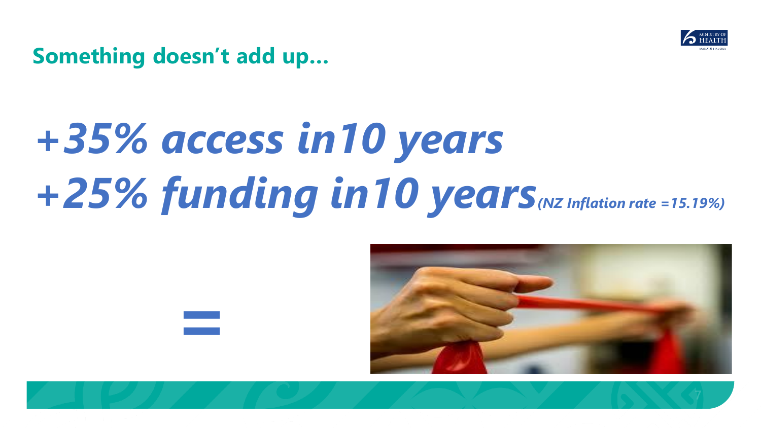

**Something doesn't add up…** 

*=*

# *+35% access in10 years +25% funding in10 years(NZ Inflation rate =15.19%)*

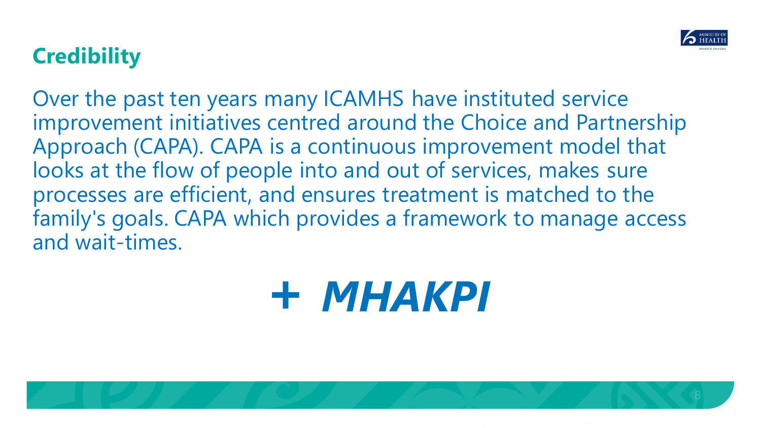

## **Credibility**

Over the past ten years many ICAMHS have instituted service improvement initiatives centred around the Choice and Partnership Approach (CAPA). CAPA is a continuous improvement model that looks at the flow of people into and out of services, makes sure processes are efficient, and ensures treatment is matched to the family's goals. CAPA which provides a framework to manage access and wait-times.

# **+** *MHAKPI*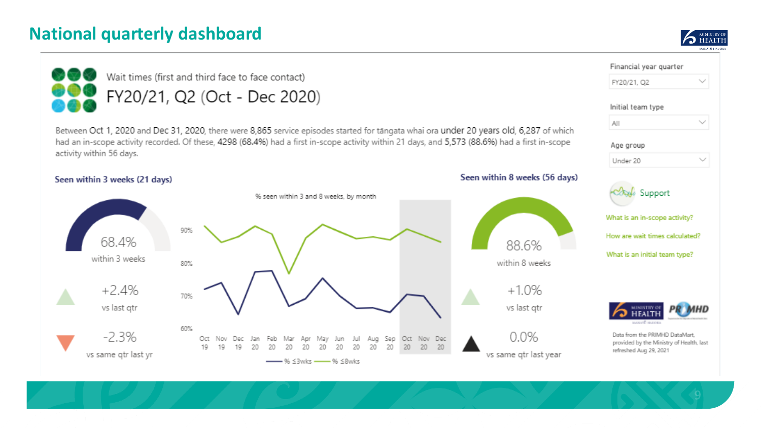### **National quarterly dashboard**



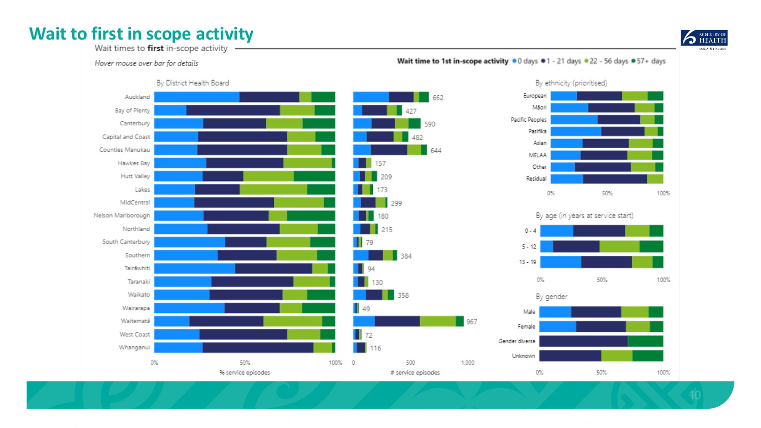### Wait to first in scope activity



Wait times to first in-scope activity

Hover mouse over bar for details

Wait time to 1st in-scope activity . 0 days . 1 - 21 days . 22 - 56 days . 57+ days

50%



100%

100%

100%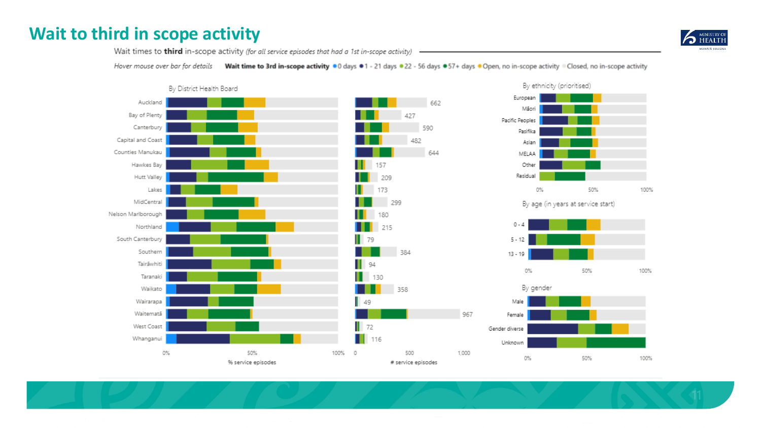### Wait to third in scope activity



Wait times to third in-scope activity (for all service episodes that had a 1st in-scope activity)

Hover mouse over bar for details Wait time to 3rd in-scope activity .0 days .1 - 21 days .22 - 56 days .57+ days .0 Open, no in-scope activity . Closed, no in-scope activity

967





#### By age (in years at service start)



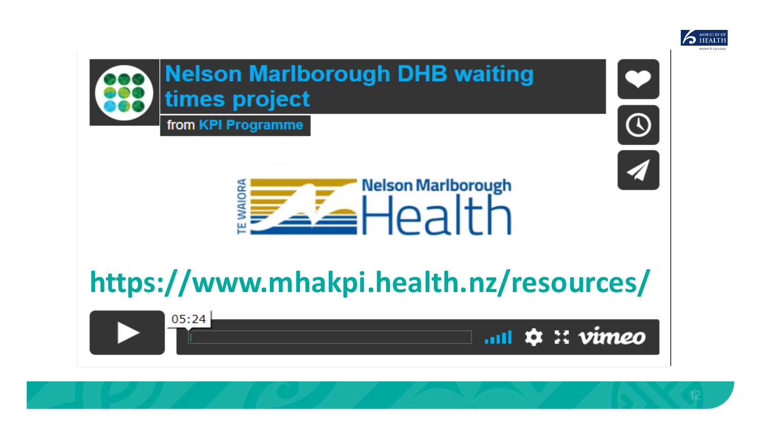



 $12$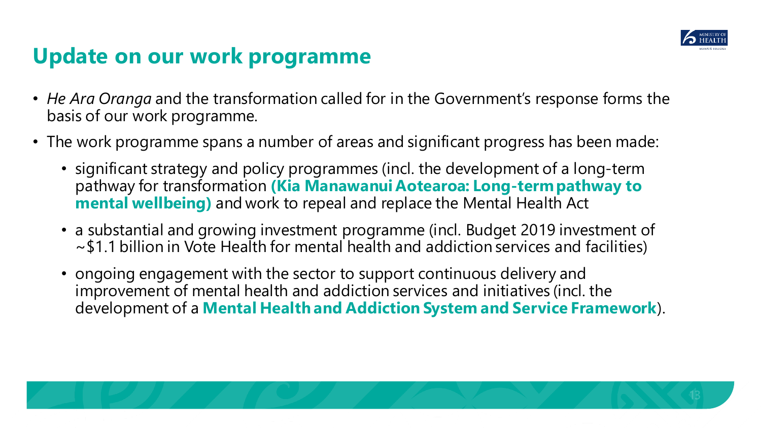

## **Update on our work programme**

- *He Ara Oranga* and the transformation called for in the Government's response forms the basis of our work programme.
- The work programme spans a number of areas and significant progress has been made:
	- significant strategy and policy programmes (incl. the development of a long-term pathway for transformation **(Kia Manawanui Aotearoa: Long-term pathway to mental wellbeing)** and work to repeal and replace the Mental Health Act
	- a substantial and growing investment programme (incl. Budget 2019 investment of ~\$1.1 billion in Vote Health for mental health and addiction services and facilities)
	- ongoing engagement with the sector to support continuous delivery and improvement of mental health and addiction services and initiatives (incl. the development of a **Mental Health and Addiction System and Service Framework**).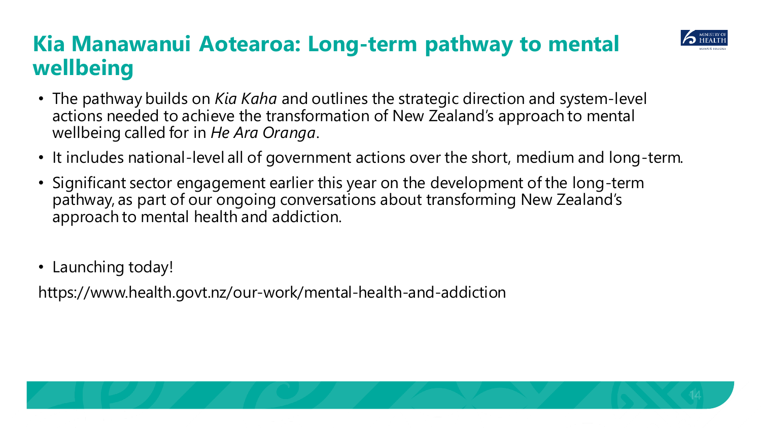## **Kia Manawanui Aotearoa: Long-term pathway to mental wellbeing**



- The pathway builds on *Kia Kaha* and outlines the strategic direction and system-level actions needed to achieve the transformation of New Zealand's approach to mental wellbeing called for in *He Ara Oranga*.
- It includes national-level all of government actions over the short, medium and long-term.
- Significant sector engagement earlier this year on the development of the long-term pathway, as part of our ongoing conversations about transforming New Zealand's approach to mental health and addiction.
- Launching today!

https://www.health.govt.nz/our-work/mental-health-and-addiction

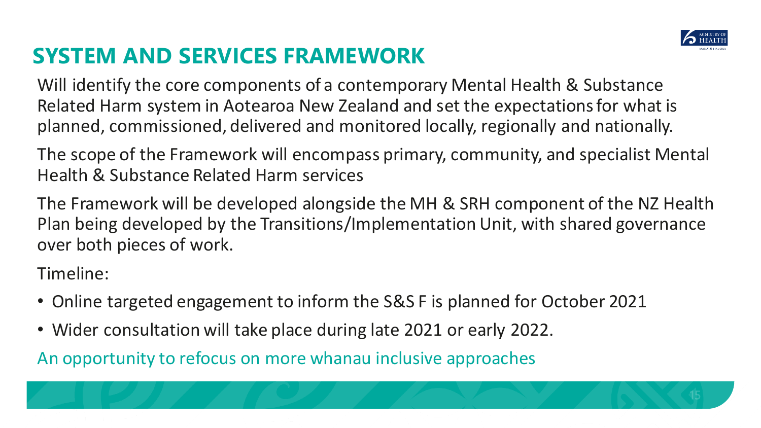

## **SYSTEM AND SERVICES FRAMEWORK**

Will identify the core components of a contemporary Mental Health & Substance Related Harm system in Aotearoa New Zealand and set the expectations for what is planned, commissioned, delivered and monitored locally, regionally and nationally.

The scope of the Framework will encompass primary, community, and specialist Mental Health & Substance Related Harm services

The Framework will be developed alongside the MH & SRH component of the NZ Health Plan being developed by the Transitions/Implementation Unit, with shared governance over both pieces of work.

Timeline:

- Online targeted engagement to inform the S&S F is planned for October 2021
- Wider consultation will take place during late 2021 or early 2022.

An opportunity to refocus on more whanau inclusive approaches